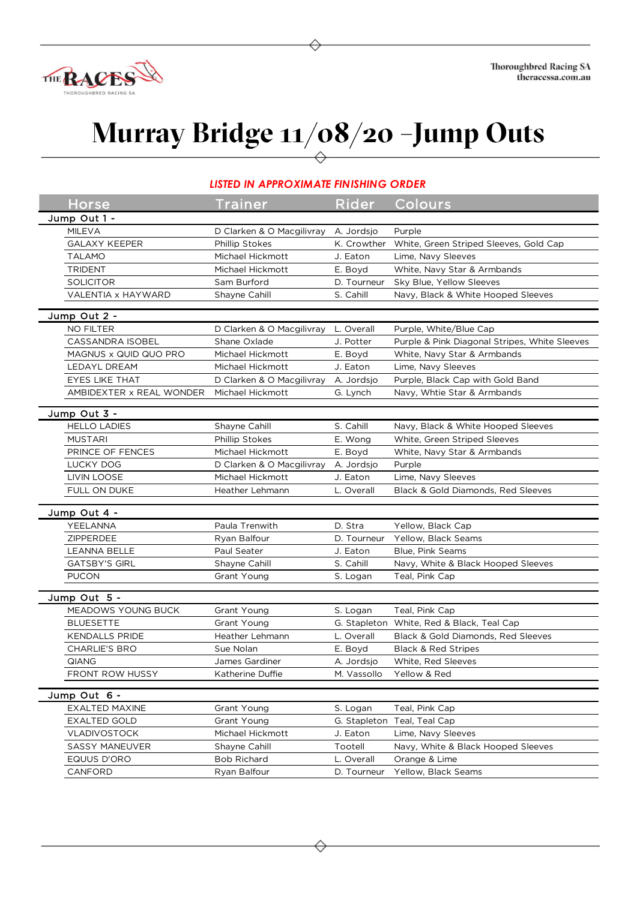

## **Murray Bridge 11/08/20 –Jump Outs**

## *LISTED IN APPROXIMATE FINISHING ORDER*

| <b>Horse</b>             | Trainer                   | Rider        | Colours                                       |
|--------------------------|---------------------------|--------------|-----------------------------------------------|
| Jump Out 1 -             |                           |              |                                               |
| <b>MILEVA</b>            | D Clarken & O Macgilivray | A. Jordsjo   | Purple                                        |
| <b>GALAXY KEEPER</b>     | <b>Phillip Stokes</b>     | K. Crowther  | White, Green Striped Sleeves, Gold Cap        |
| <b>TALAMO</b>            | Michael Hickmott          | J. Eaton     | Lime, Navy Sleeves                            |
| <b>TRIDENT</b>           | Michael Hickmott          | E. Boyd      | White, Navy Star & Armbands                   |
| <b>SOLICITOR</b>         | Sam Burford               | D. Tourneur  | Sky Blue, Yellow Sleeves                      |
| VALENTIA x HAYWARD       | Shayne Cahill             | S. Cahill    | Navy, Black & White Hooped Sleeves            |
|                          |                           |              |                                               |
| Jump Out 2 -             |                           |              |                                               |
| <b>NO FILTER</b>         | D Clarken & O Macgilivray | L. Overall   | Purple, White/Blue Cap                        |
| CASSANDRA ISOBEL         | Shane Oxlade              | J. Potter    | Purple & Pink Diagonal Stripes, White Sleeves |
| MAGNUS x QUID QUO PRO    | Michael Hickmott          | E. Boyd      | White, Navy Star & Armbands                   |
| LEDAYL DREAM             | Michael Hickmott          | J. Eaton     | Lime, Navy Sleeves                            |
| EYES LIKE THAT           | D Clarken & O Macgilivray | A. Jordsjo   | Purple, Black Cap with Gold Band              |
| AMBIDEXTER x REAL WONDER | Michael Hickmott          | G. Lynch     | Navy, Whtie Star & Armbands                   |
| Jump Out 3 -             |                           |              |                                               |
| <b>HELLO LADIES</b>      | Shayne Cahill             | S. Cahill    | Navy, Black & White Hooped Sleeves            |
| <b>MUSTARI</b>           | <b>Phillip Stokes</b>     | E. Wong      | White, Green Striped Sleeves                  |
| PRINCE OF FENCES         | Michael Hickmott          |              |                                               |
| LUCKY DOG                | D Clarken & O Macgilivray | E. Boyd      | White, Navy Star & Armbands<br>Purple         |
|                          |                           | A. Jordsjo   |                                               |
| <b>LIVIN LOOSE</b>       | Michael Hickmott          | J. Eaton     | Lime, Navy Sleeves                            |
| FULL ON DUKE             | Heather Lehmann           | L. Overall   | Black & Gold Diamonds, Red Sleeves            |
| Jump Out 4 -             |                           |              |                                               |
| YEELANNA                 | Paula Trenwith            | D. Stra      | Yellow, Black Cap                             |
| ZIPPERDEE                | Ryan Balfour              | D. Tourneur  | Yellow, Black Seams                           |
| <b>LEANNA BELLE</b>      | Paul Seater               | J. Eaton     | Blue, Pink Seams                              |
| <b>GATSBY'S GIRL</b>     | Shayne Cahill             | S. Cahill    | Navy, White & Black Hooped Sleeves            |
| <b>PUCON</b>             | Grant Young               | S. Logan     | Teal, Pink Cap                                |
|                          |                           |              |                                               |
| Jump Out 5 -             |                           |              |                                               |
| MEADOWS YOUNG BUCK       | Grant Young               | S. Logan     | Teal, Pink Cap                                |
| <b>BLUESETTE</b>         | Grant Young               | G. Stapleton | White, Red & Black, Teal Cap                  |
| <b>KENDALLS PRIDE</b>    | Heather Lehmann           | L. Overall   | Black & Gold Diamonds, Red Sleeves            |
| <b>CHARLIE'S BRO</b>     | Sue Nolan                 | E. Boyd      | <b>Black &amp; Red Stripes</b>                |
| QIANG                    | James Gardiner            | A. Jordsjo   | White, Red Sleeves                            |
| FRONT ROW HUSSY          | Katherine Duffie          | M. Vassollo  | Yellow & Red                                  |
| Jump Out 6 -             |                           |              |                                               |
| <b>EXALTED MAXINE</b>    | Grant Young               | S. Logan     | Teal, Pink Cap                                |
| <b>EXALTED GOLD</b>      | Grant Young               |              | G. Stapleton Teal, Teal Cap                   |
| VLADIVOSTOCK             | Michael Hickmott          | J. Eaton     | Lime, Navy Sleeves                            |
| SASSY MANEUVER           | Shayne Cahill             | Tootell      | Navy, White & Black Hooped Sleeves            |
| EQUUS D'ORO              | <b>Bob Richard</b>        | L. Overall   | Orange & Lime                                 |
| CANFORD                  | Ryan Balfour              | D. Tourneur  | Yellow, Black Seams                           |
|                          |                           |              |                                               |